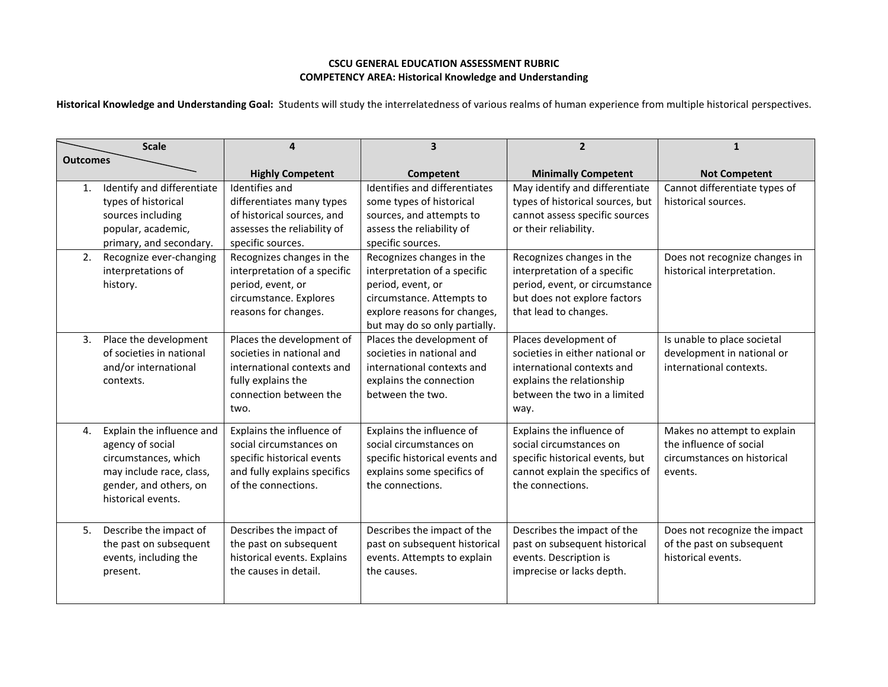## **CSCU GENERAL EDUCATION ASSESSMENT RUBRIC COMPETENCY AREA: Historical Knowledge and Understanding**

**Historical Knowledge and Understanding Goal:** Students will study the interrelatedness of various realms of human experience from multiple historical perspectives.

|                 | <b>Scale</b>                                                                                                                                      |                                                                                                                                              | 3                                                                                                                                                                            | $\overline{2}$                                                                                                                                              | $\mathbf{1}$                                                                                     |
|-----------------|---------------------------------------------------------------------------------------------------------------------------------------------------|----------------------------------------------------------------------------------------------------------------------------------------------|------------------------------------------------------------------------------------------------------------------------------------------------------------------------------|-------------------------------------------------------------------------------------------------------------------------------------------------------------|--------------------------------------------------------------------------------------------------|
| <b>Outcomes</b> |                                                                                                                                                   | <b>Highly Competent</b>                                                                                                                      | Competent                                                                                                                                                                    | <b>Minimally Competent</b>                                                                                                                                  | <b>Not Competent</b>                                                                             |
| 1.              | Identify and differentiate<br>types of historical<br>sources including<br>popular, academic,<br>primary, and secondary.                           | Identifies and<br>differentiates many types<br>of historical sources, and<br>assesses the reliability of<br>specific sources.                | Identifies and differentiates<br>some types of historical<br>sources, and attempts to<br>assess the reliability of<br>specific sources.                                      | May identify and differentiate<br>types of historical sources, but<br>cannot assess specific sources<br>or their reliability.                               | Cannot differentiate types of<br>historical sources.                                             |
| 2.              | Recognize ever-changing<br>interpretations of<br>history.                                                                                         | Recognizes changes in the<br>interpretation of a specific<br>period, event, or<br>circumstance. Explores<br>reasons for changes.             | Recognizes changes in the<br>interpretation of a specific<br>period, event, or<br>circumstance. Attempts to<br>explore reasons for changes,<br>but may do so only partially. | Recognizes changes in the<br>interpretation of a specific<br>period, event, or circumstance<br>but does not explore factors<br>that lead to changes.        | Does not recognize changes in<br>historical interpretation.                                      |
| 3.              | Place the development<br>of societies in national<br>and/or international<br>contexts.                                                            | Places the development of<br>societies in national and<br>international contexts and<br>fully explains the<br>connection between the<br>two. | Places the development of<br>societies in national and<br>international contexts and<br>explains the connection<br>between the two.                                          | Places development of<br>societies in either national or<br>international contexts and<br>explains the relationship<br>between the two in a limited<br>way. | Is unable to place societal<br>development in national or<br>international contexts.             |
| 4.              | Explain the influence and<br>agency of social<br>circumstances, which<br>may include race, class,<br>gender, and others, on<br>historical events. | Explains the influence of<br>social circumstances on<br>specific historical events<br>and fully explains specifics<br>of the connections.    | Explains the influence of<br>social circumstances on<br>specific historical events and<br>explains some specifics of<br>the connections.                                     | Explains the influence of<br>social circumstances on<br>specific historical events, but<br>cannot explain the specifics of<br>the connections.              | Makes no attempt to explain<br>the influence of social<br>circumstances on historical<br>events. |
| 5.              | Describe the impact of<br>the past on subsequent<br>events, including the<br>present.                                                             | Describes the impact of<br>the past on subsequent<br>historical events. Explains<br>the causes in detail.                                    | Describes the impact of the<br>past on subsequent historical<br>events. Attempts to explain<br>the causes.                                                                   | Describes the impact of the<br>past on subsequent historical<br>events. Description is<br>imprecise or lacks depth.                                         | Does not recognize the impact<br>of the past on subsequent<br>historical events.                 |